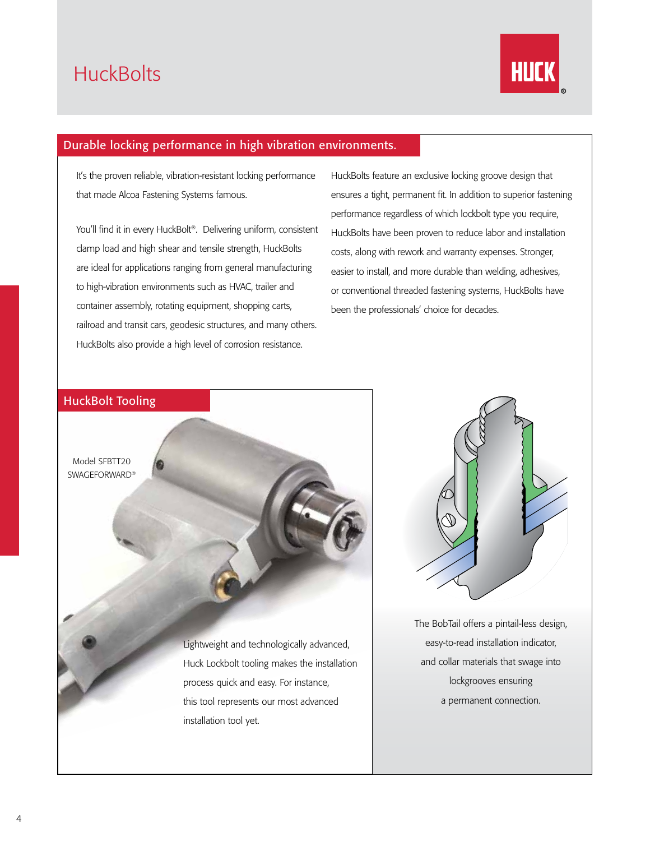## **HuckBolts**



#### Durable locking performance in high vibration environments.

It's the proven reliable, vibration-resistant locking performance that made Alcoa Fastening Systems famous.

You'll find it in every HuckBolt®. Delivering uniform, consistent clamp load and high shear and tensile strength, HuckBolts are ideal for applications ranging from general manufacturing to high-vibration environments such as HVAC, trailer and container assembly, rotating equipment, shopping carts, railroad and transit cars, geodesic structures, and many others. HuckBolts also provide a high level of corrosion resistance.

HuckBolts feature an exclusive locking groove design that ensures a tight, permanent fit. In addition to superior fastening performance regardless of which lockbolt type you require, HuckBolts have been proven to reduce labor and installation costs, along with rework and warranty expenses. Stronger, easier to install, and more durable than welding, adhesives, or conventional threaded fastening systems, HuckBolts have been the professionals' choice for decades.





The BobTail offers a pintail-less design, easy-to-read installation indicator, and collar materials that swage into lockgrooves ensuring a permanent connection.